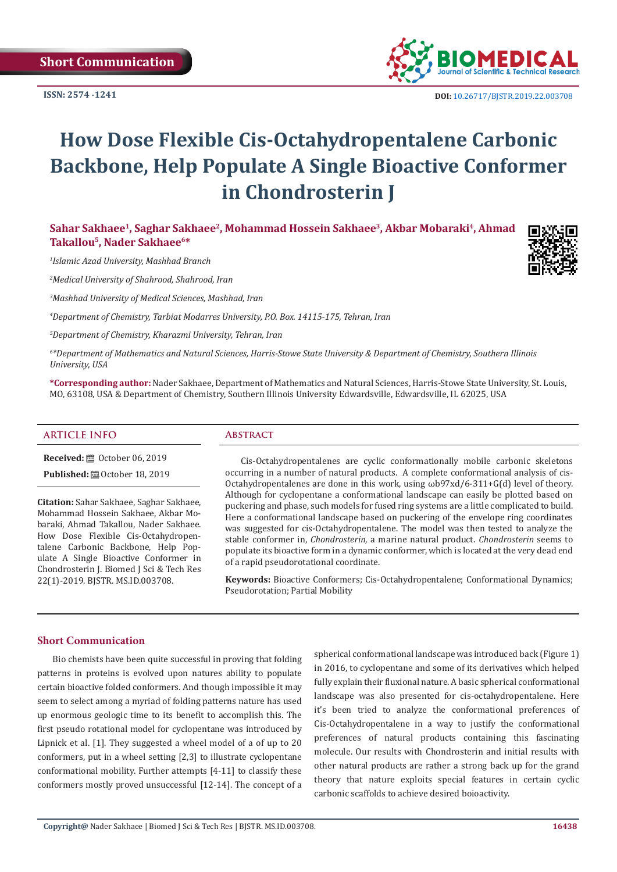**ISSN: 2574 -1241**



 **DOI:** [10.26717/BJSTR.2019.22.0037](http://dx.doi.org/10.26717/BJSTR.2019.22.003708)08

# **How Dose Flexible Cis-Octahydropentalene Carbonic Backbone, Help Populate A Single Bioactive Conformer in Chondrosterin J**

Sahar Sakhaee<sup>1</sup>, Saghar Sakhaee<sup>2</sup>, Mohammad Hossein Sakhaee<sup>3</sup>, Akbar Mobaraki<sup>4</sup>, Ahmad **Takallou5, Nader Sakhaee6\***

*1 Islamic Azad University, Mashhad Branch*

*2 Medical University of Shahrood, Shahrood, Iran*

*3 Mashhad University of Medical Sciences, Mashhad, Iran*

*4 Department of Chemistry, Tarbiat Modarres University, P.O. Box. 14115-175, Tehran, Iran*

*5 Department of Chemistry, Kharazmi University, Tehran, Iran*

*6 \*Department of Mathematics and Natural Sciences, Harris-Stowe State University & Department of Chemistry, Southern Illinois University, USA*

**\*Corresponding author:** Nader Sakhaee, Department of Mathematics and Natural Sciences, Harris-Stowe State University, St. Louis, MO, 63108, USA & Department of Chemistry, Southern Illinois University Edwardsville, Edwardsville, IL 62025, USA

## **ARTICLE INFO Abstract**

**Received:** ■ October 06, 2019

**Published:** ■ October 18, 2019

**Citation:** Sahar Sakhaee, Saghar Sakhaee, Mohammad Hossein Sakhaee, Akbar Mobaraki, Ahmad Takallou, Nader Sakhaee. How Dose Flexible Cis-Octahydropentalene Carbonic Backbone, Help Populate A Single Bioactive Conformer in Chondrosterin J. Biomed J Sci & Tech Res 22(1)-2019. BJSTR. MS.ID.003708.

Cis-Octahydropentalenes are cyclic conformationally mobile carbonic skeletons occurring in a number of natural products. A complete conformational analysis of cis-Octahydropentalenes are done in this work, using ωb97xd/6-311+G(d) level of theory. Although for cyclopentane a conformational landscape can easily be plotted based on puckering and phase, such models for fused ring systems are a little complicated to build. Here a conformational landscape based on puckering of the envelope ring coordinates was suggested for cis-Octahydropentalene. The model was then tested to analyze the stable conformer in, *Chondrosterin*, a marine natural product. *Chondrosterin* seems to populate its bioactive form in a dynamic conformer, which is located at the very dead end of a rapid pseudorotational coordinate.

**Keywords:** Bioactive Conformers; Cis-Octahydropentalene; Conformational Dynamics; Pseudorotation; Partial Mobility

# **Short Communication**

Bio chemists have been quite successful in proving that folding patterns in proteins is evolved upon natures ability to populate certain bioactive folded conformers. And though impossible it may seem to select among a myriad of folding patterns nature has used up enormous geologic time to its benefit to accomplish this. The first pseudo rotational model for cyclopentane was introduced by Lipnick et al. [1]. They suggested a wheel model of a of up to 20 conformers, put in a wheel setting [2,3] to illustrate cyclopentane conformational mobility. Further attempts [4-11] to classify these conformers mostly proved unsuccessful [12-14]. The concept of a spherical conformational landscape was introduced back (Figure 1) in 2016, to cyclopentane and some of its derivatives which helped fully explain their fluxional nature. A basic spherical conformational landscape was also presented for cis-octahydropentalene. Here it's been tried to analyze the conformational preferences of Cis-Octahydropentalene in a way to justify the conformational preferences of natural products containing this fascinating molecule. Our results with Chondrosterin and initial results with other natural products are rather a strong back up for the grand theory that nature exploits special features in certain cyclic carbonic scaffolds to achieve desired boioactivity.

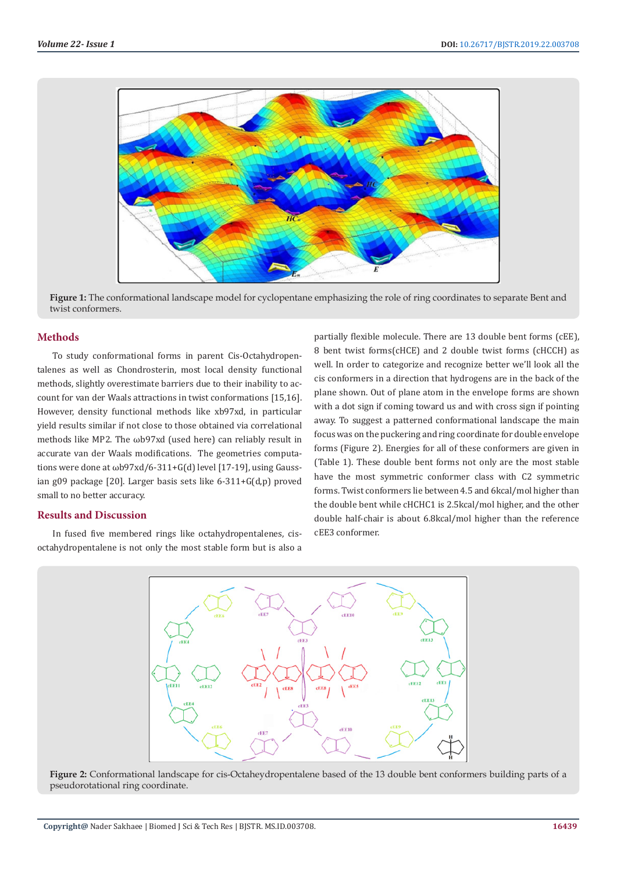

**Figure 1:** The conformational landscape model for cyclopentane emphasizing the role of ring coordinates to separate Bent and twist conformers.

#### **Methods**

To study conformational forms in parent Cis-Octahydropentalenes as well as Chondrosterin, most local density functional methods, slightly overestimate barriers due to their inability to account for van der Waals attractions in twist conformations [15,16]. However, density functional methods like xb97xd, in particular yield results similar if not close to those obtained via correlational methods like MP2. The ωb97xd (used here) can reliably result in accurate van der Waals modifications. The geometries computations were done at ωb97xd/6-311+G(d) level [17-19], using Gaussian g09 package [20]. Larger basis sets like 6-311+G(d,p) proved small to no better accuracy.

### **Results and Discussion**

In fused five membered rings like octahydropentalenes, cisoctahydropentalene is not only the most stable form but is also a

partially flexible molecule. There are 13 double bent forms (cEE), 8 bent twist forms(cHCE) and 2 double twist forms (cHCCH) as well. In order to categorize and recognize better we'll look all the cis conformers in a direction that hydrogens are in the back of the plane shown. Out of plane atom in the envelope forms are shown with a dot sign if coming toward us and with cross sign if pointing away. To suggest a patterned conformational landscape the main focus was on the puckering and ring coordinate for double envelope forms (Figure 2). Energies for all of these conformers are given in (Table 1). These double bent forms not only are the most stable have the most symmetric conformer class with C2 symmetric forms. Twist conformers lie between 4.5 and 6kcal/mol higher than the double bent while cHCHC1 is 2.5kcal/mol higher, and the other double half-chair is about 6.8kcal/mol higher than the reference cEE3 conformer.



**Figure 2:** Conformational landscape for cis-Octaheydropentalene based of the 13 double bent conformers building parts of a pseudorotational ring coordinate.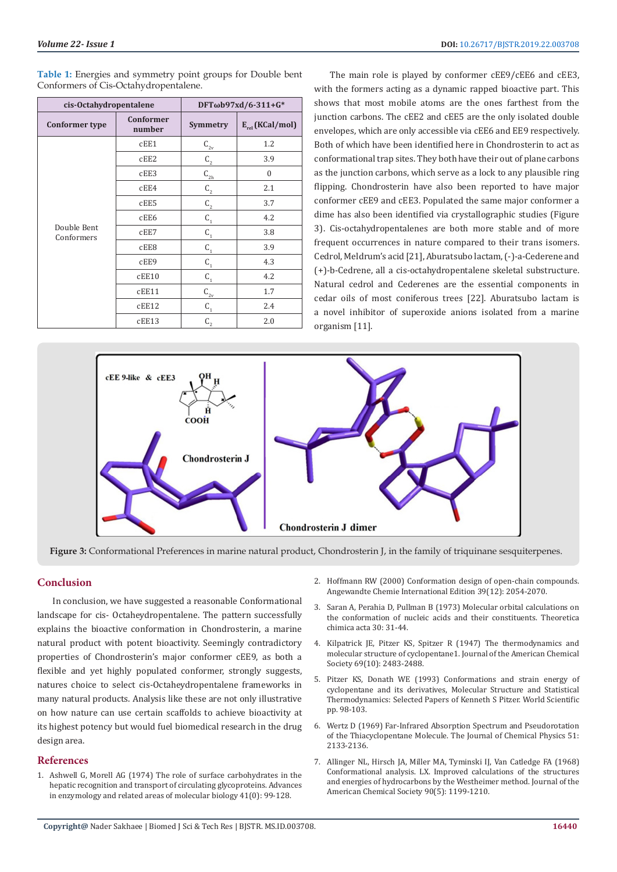**Table 1:** Energies and symmetry point groups for Double bent Conformers of Cis-Octahydropentalene.

| cis-Octahydropentalene    |                            | DFTωb97xd/6-311+G*      |                      |
|---------------------------|----------------------------|-------------------------|----------------------|
| <b>Conformer type</b>     | <b>Conformer</b><br>number | Symmetry                | $E_{rel}$ (KCal/mol) |
| Double Bent<br>Conformers | cEE1                       | $C_{2v}$                | 1.2                  |
|                           | cEE2                       | $C_{2}$                 | 3.9                  |
|                           | cEE3                       | $\text{C}_{\text{2h}}$  | $\theta$             |
|                           | cEE4                       | $C_{2}$                 | 2.1                  |
|                           | cEE5                       | $C_{2}$                 | 3.7                  |
|                           | cEE6                       | $C_{1}$                 | 4.2                  |
|                           | cEE7                       | $C_{1}$                 | 3.8                  |
|                           | cEE8                       | $C_{1}$                 | 3.9                  |
|                           | cEE9                       | $C_{1}$                 | 4.3                  |
|                           | cEE10                      | $C_{1}$                 | 4.2                  |
|                           | cEE11                      | $C_{2v}$                | 1.7                  |
|                           | cEE12                      | $\mathsf{C}_\mathsf{1}$ | 2.4                  |
|                           | cEE13                      | $C_{2}$                 | 2.0                  |

The main role is played by conformer cEE9/cEE6 and cEE3, with the formers acting as a dynamic rapped bioactive part. This shows that most mobile atoms are the ones farthest from the junction carbons. The cEE2 and cEE5 are the only isolated double envelopes, which are only accessible via cEE6 and EE9 respectively. Both of which have been identified here in Chondrosterin to act as conformational trap sites. They both have their out of plane carbons as the junction carbons, which serve as a lock to any plausible ring flipping. Chondrosterin have also been reported to have major conformer cEE9 and cEE3. Populated the same major conformer a dime has also been identified via crystallographic studies (Figure 3). Cis-octahydropentalenes are both more stable and of more frequent occurrences in nature compared to their trans isomers. Cedrol, Meldrum's acid [21], Aburatsubo lactam, (-)-a-Cederene and (+)-b-Cedrene, all a cis-octahydropentalene skeletal substructure. Natural cedrol and Cederenes are the essential components in cedar oils of most coniferous trees [22]. Aburatsubo lactam is a novel inhibitor of superoxide anions isolated from a marine organism [11].



**Figure 3:** Conformational Preferences in marine natural product, Chondrosterin J, in the family of triquinane sesquiterpenes.

# **Conclusion**

In conclusion, we have suggested a reasonable Conformational landscape for cis- Octaheydropentalene. The pattern successfully explains the bioactive conformation in Chondrosterin, a marine natural product with potent bioactivity. Seemingly contradictory properties of Chondrosterin's major conformer cEE9, as both a flexible and yet highly populated conformer, strongly suggests, natures choice to select cis-Octaheydropentalene frameworks in many natural products. Analysis like these are not only illustrative on how nature can use certain scaffolds to achieve bioactivity at its highest potency but would fuel biomedical research in the drug design area.

#### **References**

1. [Ashwell G, Morell AG \(1974\) The role of surface carbohydrates in the](https://www.ncbi.nlm.nih.gov/pubmed/4609051)  [hepatic recognition and transport of circulating glycoproteins. Advances](https://www.ncbi.nlm.nih.gov/pubmed/4609051)  [in enzymology and related areas of molecular biology 41\(0\): 99-128.](https://www.ncbi.nlm.nih.gov/pubmed/4609051)

- 2. [Hoffmann RW \(2000\) Conformation design of open-chain compounds.](https://www.ncbi.nlm.nih.gov/pubmed/10941017) [Angewandte Chemie International Edition 39\(12\): 2054-2070.](https://www.ncbi.nlm.nih.gov/pubmed/10941017)
- 3. [Saran A, Perahia D, Pullman B \(1973\) Molecular orbital calculations on](https://link.springer.com/article/10.1007/BF00527633) [the conformation of nucleic acids and their constituents. Theoretica](https://link.springer.com/article/10.1007/BF00527633) [chimica acta 30: 31-44.](https://link.springer.com/article/10.1007/BF00527633)
- 4. [Kilpatrick JE, Pitzer KS, Spitzer R \(1947\) The thermodynamics and](https://pubs.acs.org/doi/abs/10.1021/ja01202a069) [molecular structure of cyclopentane1. Journal of the American Chemical](https://pubs.acs.org/doi/abs/10.1021/ja01202a069) [Society 69\(10\): 2483-2488.](https://pubs.acs.org/doi/abs/10.1021/ja01202a069)
- 5. [Pitzer KS, Donath WE \(1993\) Conformations and strain energy of](https://www.worldscientific.com/doi/abs/10.1142/9789812795960_0018) [cyclopentane and its derivatives, Molecular Structure and Statistical](https://www.worldscientific.com/doi/abs/10.1142/9789812795960_0018) [Thermodynamics: Selected Papers of Kenneth S Pitzer. World Scientific](https://www.worldscientific.com/doi/abs/10.1142/9789812795960_0018) [pp. 98-103.](https://www.worldscientific.com/doi/abs/10.1142/9789812795960_0018)
- 6. [Wertz D \(1969\) Far-Infrared Absorption Spectrum and Pseudorotation](http://adsabs.harvard.edu/abs/1969JChPh..51.2133W) [of the Thiacyclopentane Molecule. The Journal of Chemical Physics 51:](http://adsabs.harvard.edu/abs/1969JChPh..51.2133W) [2133-2136.](http://adsabs.harvard.edu/abs/1969JChPh..51.2133W)
- 7. [Allinger NL, Hirsch JA, Miller MA, Tyminski IJ, Van Catledge FA \(1968\)](https://pubs.acs.org/doi/10.1021/ja01007a017) [Conformational analysis. LX. Improved calculations of the structures](https://pubs.acs.org/doi/10.1021/ja01007a017) [and energies of hydrocarbons by the Westheimer method. Journal of the](https://pubs.acs.org/doi/10.1021/ja01007a017) [American Chemical Society 90\(5\): 1199-1210.](https://pubs.acs.org/doi/10.1021/ja01007a017)